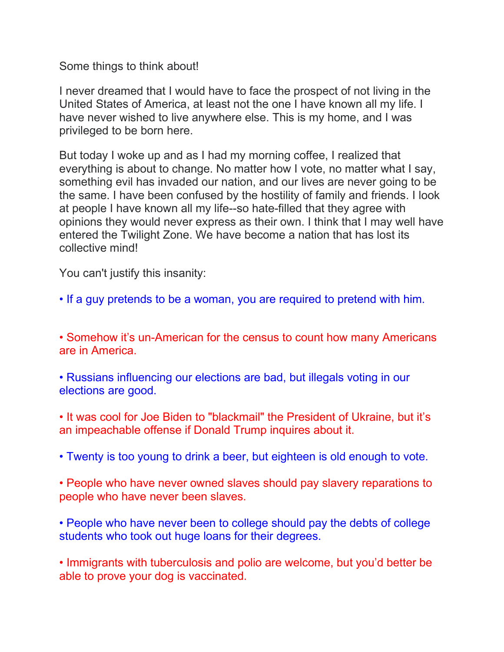Some things to think about!

I never dreamed that I would have to face the prospect of not living in the United States of America, at least not the one I have known all my life. I have never wished to live anywhere else. This is my home, and I was privileged to be born here.

But today I woke up and as I had my morning coffee, I realized that everything is about to change. No matter how I vote, no matter what I say, something evil has invaded our nation, and our lives are never going to be the same. I have been confused by the hostility of family and friends. I look at people I have known all my life--so hate-filled that they agree with opinions they would never express as their own. I think that I may well have entered the Twilight Zone. We have become a nation that has lost its collective mind!

You can't justify this insanity:

• If a guy pretends to be a woman, you are required to pretend with him.

• Somehow it's un-American for the census to count how many Americans are in America.

• Russians influencing our elections are bad, but illegals voting in our elections are good.

• It was cool for Joe Biden to "blackmail" the President of Ukraine, but it's an impeachable offense if Donald Trump inquires about it.

• Twenty is too young to drink a beer, but eighteen is old enough to vote.

• People who have never owned slaves should pay slavery reparations to people who have never been slaves.

• People who have never been to college should pay the debts of college students who took out huge loans for their degrees.

• Immigrants with tuberculosis and polio are welcome, but you'd better be able to prove your dog is vaccinated.